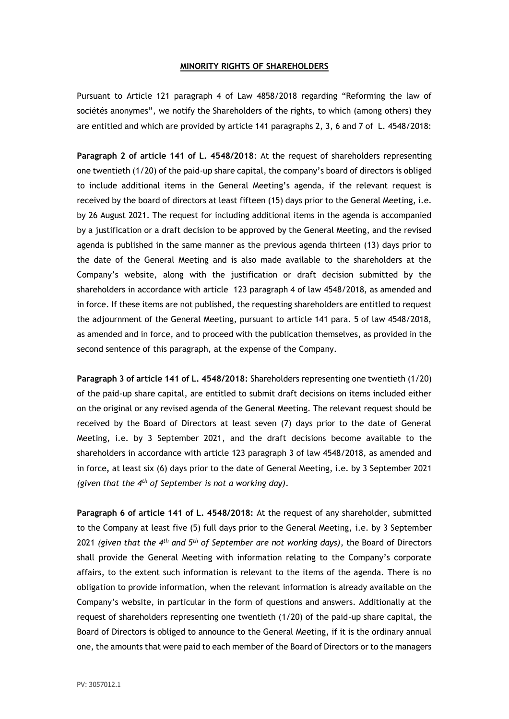## **MINORITY RIGHTS OF SHAREHOLDERS**

Pursuant to Article 121 paragraph 4 of Law 4858/2018 regarding "Reforming the law of sociétés anonymes", we notify the Shareholders of the rights, to which (among others) they are entitled and which are provided by article 141 paragraphs 2, 3, 6 and 7 of L. 4548/2018:

**Paragraph 2 of article 141 of L. 4548/2018**: At the request of shareholders representing one twentieth (1/20) of the paid-up share capital, the company's board of directors is obliged to include additional items in the General Meeting's agenda, if the relevant request is received by the board of directors at least fifteen (15) days prior to the General Meeting, i.e. by 26 August 2021. The request for including additional items in the agenda is accompanied by a justification or a draft decision to be approved by the General Meeting, and the revised agenda is published in the same manner as the previous agenda thirteen (13) days prior to the date of the General Meeting and is also made available to the shareholders at the Company's website, along with the justification or draft decision submitted by the shareholders in accordance with article 123 paragraph 4 of law 4548/2018, as amended and in force. If these items are not published, the requesting shareholders are entitled to request the adjournment of the General Meeting, pursuant to article 141 para. 5 of law 4548/2018, as amended and in force, and to proceed with the publication themselves, as provided in the second sentence of this paragraph, at the expense of the Company.

**Paragraph 3 of article 141 of L. 4548/2018:** Shareholders representing one twentieth (1/20) of the paid-up share capital, are entitled to submit draft decisions on items included either on the original or any revised agenda of the General Meeting. The relevant request should be received by the Board of Directors at least seven (7) days prior to the date of General Meeting, i.e. by 3 September 2021, and the draft decisions become available to the shareholders in accordance with article 123 paragraph 3 of law 4548/2018, as amended and in force**,** at least six (6) days prior to the date of General Meeting, i.e. by 3 September 2021 *(given that the 4th of September is not a working day)*.

**Paragraph 6 of article 141 of L. 4548/2018:** At the request of any shareholder, submitted to the Company at least five (5) full days prior to the General Meeting, i.e. by 3 September 2021 *(given that the 4th and 5th of September are not working days)*, the Board of Directors shall provide the General Meeting with information relating to the Company's corporate affairs, to the extent such information is relevant to the items of the agenda. There is no obligation to provide information, when the relevant information is already available on the Company's website, in particular in the form of questions and answers. Additionally at the request of shareholders representing one twentieth (1/20) of the paid-up share capital, the Board of Directors is obliged to announce to the General Meeting, if it is the ordinary annual one, the amounts that were paid to each member of the Board of Directors or to the managers